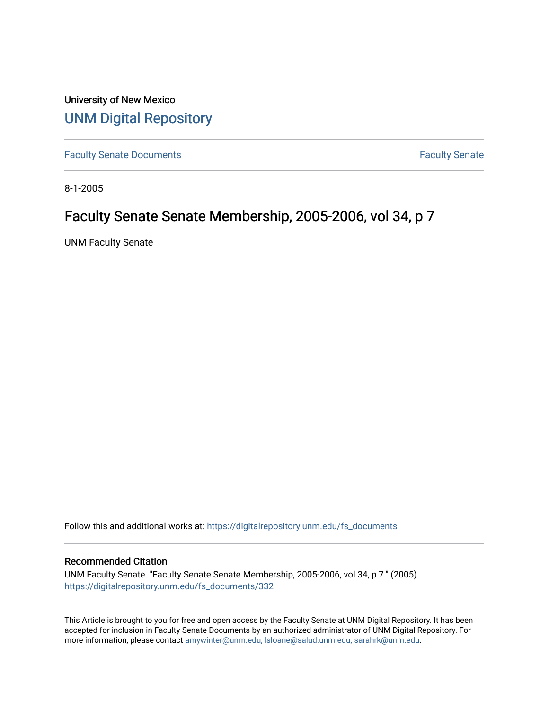University of New Mexico [UNM Digital Repository](https://digitalrepository.unm.edu/) 

[Faculty Senate Documents](https://digitalrepository.unm.edu/fs_documents) **Faculty** Senate **Faculty** Senate

8-1-2005

## Faculty Senate Senate Membership, 2005-2006, vol 34, p 7

UNM Faculty Senate

Follow this and additional works at: [https://digitalrepository.unm.edu/fs\\_documents](https://digitalrepository.unm.edu/fs_documents?utm_source=digitalrepository.unm.edu%2Ffs_documents%2F332&utm_medium=PDF&utm_campaign=PDFCoverPages)

## Recommended Citation

UNM Faculty Senate. "Faculty Senate Senate Membership, 2005-2006, vol 34, p 7." (2005). [https://digitalrepository.unm.edu/fs\\_documents/332](https://digitalrepository.unm.edu/fs_documents/332?utm_source=digitalrepository.unm.edu%2Ffs_documents%2F332&utm_medium=PDF&utm_campaign=PDFCoverPages)

This Article is brought to you for free and open access by the Faculty Senate at UNM Digital Repository. It has been accepted for inclusion in Faculty Senate Documents by an authorized administrator of UNM Digital Repository. For more information, please contact [amywinter@unm.edu, lsloane@salud.unm.edu, sarahrk@unm.edu](mailto:amywinter@unm.edu,%20lsloane@salud.unm.edu,%20sarahrk@unm.edu).